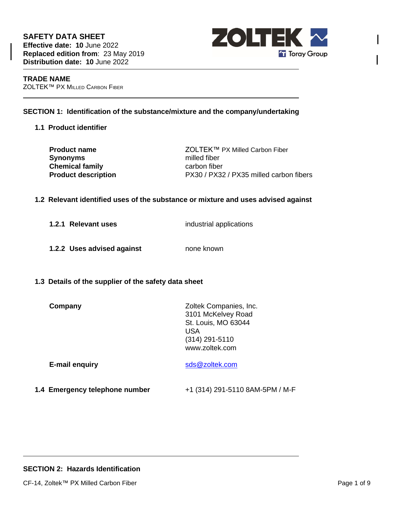**SAFETY DATA SHEET Effective date: 10** June 2022 **Replaced edition from**: 23 May 2019 **Distribution date: 10** June 2022



### **TRADE NAME** ZOLTEK™ PX MILLED CARBON FIBER

# **SECTION 1: Identification of the substance/mixture and the company/undertaking**

**1.1 Product identifier**

**Synonyms** milled fiber **Chemical family** carbon fiber

**Product name** ZOLTEK™ PX Milled Carbon Fiber **Product description** PX30 / PX32 / PX35 milled carbon fibers

## **1.2 Relevant identified uses of the substance or mixture and uses advised against**

**1.2.1 Relevant uses** industrial applications

- **1.2.2 Uses advised against** none known
- **1.3 Details of the supplier of the safety data sheet**

| Company | Zoltek Companies, Inc. |
|---------|------------------------|
|         | 3101 McKelvey Road     |
|         | St. Louis, MO 63044    |
|         | USA                    |
|         | $(314)$ 291-5110       |
|         | www.zoltek.com         |
|         |                        |

**1.4 Emergency telephone number** +1 (314) 291-5110 8AM-5PM / M-F

**E-mail enquiry** [sds@zoltek.com](mailto:msds@zoltek.com)

# **SECTION 2: Hazards Identification**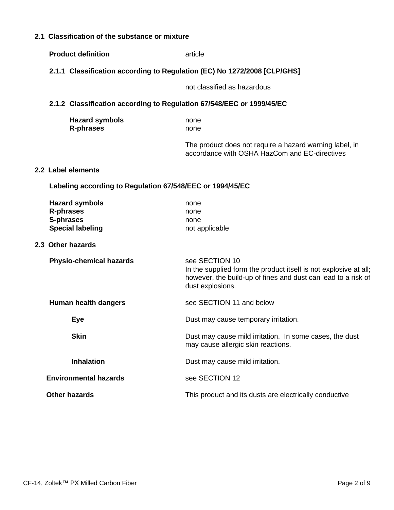# **2.1 Classification of the substance or mixture**

**Product definition** article

**2.1.1 Classification according to Regulation (EC) No 1272/2008 [CLP/GHS]**

|                                                                       |                                                           | not classified as hazardous                                                                                                                                             |
|-----------------------------------------------------------------------|-----------------------------------------------------------|-------------------------------------------------------------------------------------------------------------------------------------------------------------------------|
| 2.1.2 Classification according to Regulation 67/548/EEC or 1999/45/EC |                                                           |                                                                                                                                                                         |
|                                                                       | <b>Hazard symbols</b><br><b>R-phrases</b>                 | none<br>none                                                                                                                                                            |
|                                                                       |                                                           | The product does not require a hazard warning label, in<br>accordance with OSHA HazCom and EC-directives                                                                |
| 2.2 Label elements                                                    |                                                           |                                                                                                                                                                         |
|                                                                       | Labeling according to Regulation 67/548/EEC or 1994/45/EC |                                                                                                                                                                         |
| <b>R-phrases</b><br>S-phrases                                         | <b>Hazard symbols</b><br><b>Special labeling</b>          | none<br>none<br>none<br>not applicable                                                                                                                                  |
| 2.3 Other hazards                                                     |                                                           |                                                                                                                                                                         |
|                                                                       | <b>Physio-chemical hazards</b>                            | see SECTION 10<br>In the supplied form the product itself is not explosive at all;<br>however, the build-up of fines and dust can lead to a risk of<br>dust explosions. |
|                                                                       | Human health dangers                                      | see SECTION 11 and below                                                                                                                                                |
|                                                                       | <b>Eye</b>                                                | Dust may cause temporary irritation.                                                                                                                                    |
|                                                                       | <b>Skin</b>                                               | Dust may cause mild irritation. In some cases, the dust<br>may cause allergic skin reactions.                                                                           |
|                                                                       | <b>Inhalation</b>                                         | Dust may cause mild irritation.                                                                                                                                         |
|                                                                       | <b>Environmental hazards</b>                              | see SECTION 12                                                                                                                                                          |
| <b>Other hazards</b>                                                  |                                                           | This product and its dusts are electrically conductive                                                                                                                  |
|                                                                       |                                                           |                                                                                                                                                                         |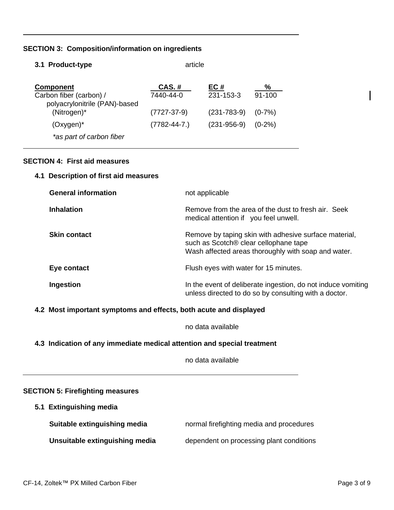# **SECTION 3: Composition/information on ingredients**

| 3.1 Product-type                                         | article           |                   |            |
|----------------------------------------------------------|-------------------|-------------------|------------|
| <b>Component</b>                                         | <b>CAS.#</b>      | EC#               | %          |
| Carbon fiber (carbon) /<br>polyacrylonitrile (PAN)-based | 7440-44-0         | 231-153-3         | $91 - 100$ |
| (Nitrogen)*                                              | $(7727-37-9)$     | $(231 - 783 - 9)$ | $(0-7%)$   |
| $(Oxygen)^*$                                             | $(7782 - 44 - 7)$ | $(231 - 956 - 9)$ | $(0-2\%)$  |
| *as part of carbon fiber                                 |                   |                   |            |

# **SECTION 4: First aid measures**

## **4.1 Description of first aid measures**

| <b>General information</b> | not applicable                                                                                                                                        |
|----------------------------|-------------------------------------------------------------------------------------------------------------------------------------------------------|
| <b>Inhalation</b>          | Remove from the area of the dust to fresh air. Seek<br>medical attention if you feel unwell.                                                          |
| <b>Skin contact</b>        | Remove by taping skin with adhesive surface material,<br>such as Scotch® clear cellophane tape<br>Wash affected areas thoroughly with soap and water. |
| Eye contact                | Flush eyes with water for 15 minutes.                                                                                                                 |
| Ingestion                  | In the event of deliberate ingestion, do not induce vomiting<br>unless directed to do so by consulting with a doctor.                                 |

# **4.2 Most important symptoms and effects, both acute and displayed**

no data available

# **4.3 Indication of any immediate medical attention and special treatment**

no data available

### **SECTION 5: Firefighting measures**

**5.1 Extinguishing media**

| Suitable extinguishing media   | normal firefighting media and procedures |
|--------------------------------|------------------------------------------|
| Unsuitable extinguishing media | dependent on processing plant conditions |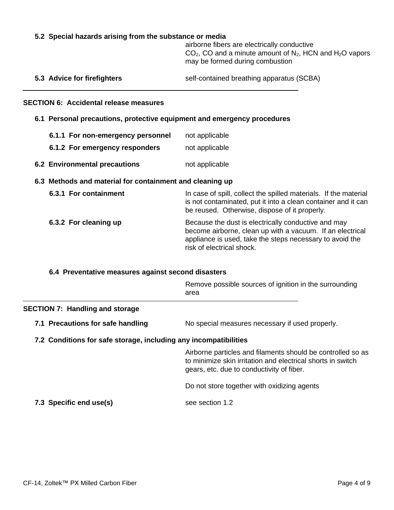### **5.2 Special hazards arising from the substance or media**

airborne fibers are electrically conductive  $CO<sub>2</sub>$ , CO and a minute amount of N<sub>2</sub>, HCN and H<sub>2</sub>O vapors may be formed during combustion

| 5.3 Advice for firefighters | self-contained breathing apparatus (SCBA) |  |
|-----------------------------|-------------------------------------------|--|
|-----------------------------|-------------------------------------------|--|

### **SECTION 6: Accidental release measures**

- **6.1 Personal precautions, protective equipment and emergency procedures**
	- **6.1.1 For non-emergency personnel** not applicable
	- **6.1.2 For emergency responders** not applicable
- **6.2 Environmental precautions** not applicable

### **6.3 Methods and material for containment and cleaning up**

| 6.3.1 For containment | In case of spill, collect the spilled materials. If the material<br>is not contaminated, put it into a clean container and it can<br>be reused. Otherwise, dispose of it properly.                        |
|-----------------------|-----------------------------------------------------------------------------------------------------------------------------------------------------------------------------------------------------------|
| 6.3.2 For cleaning up | Because the dust is electrically conductive and may<br>become airborne, clean up with a vacuum. If an electrical<br>appliance is used, take the steps necessary to avoid the<br>risk of electrical shock. |

#### **6.4 Preventative measures against second disasters**

Remove possible sources of ignition in the surrounding area

#### **SECTION 7: Handling and storage**

**7.1 Precautions for safe handling** No special measures necessary if used properly.

#### **7.2 Conditions for safe storage, including any incompatibilities**

Airborne particles and filaments should be controlled so as to minimize skin irritation and electrical shorts in switch gears, etc. due to conductivity of fiber.

Do not store together with oxidizing agents

**7.3 Specific end use(s)** see section 1.2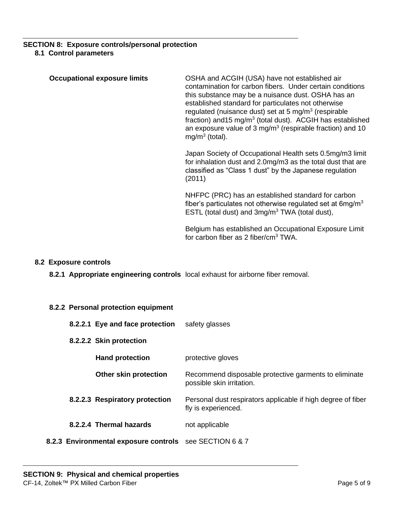## **SECTION 8: Exposure controls/personal protection 8.1 Control parameters**

| <b>Occupational exposure limits</b> | OSHA and ACGIH (USA) have not established air<br>contamination for carbon fibers. Under certain conditions<br>this substance may be a nuisance dust. OSHA has an<br>established standard for particulates not otherwise<br>regulated (nuisance dust) set at 5 mg/m <sup>3</sup> (respirable<br>fraction) and 15 mg/m <sup>3</sup> (total dust). ACGIH has established<br>an exposure value of $3 \text{ mg/m}^3$ (respirable fraction) and 10<br>$mg/m3$ (total). |
|-------------------------------------|-------------------------------------------------------------------------------------------------------------------------------------------------------------------------------------------------------------------------------------------------------------------------------------------------------------------------------------------------------------------------------------------------------------------------------------------------------------------|
|                                     | Japan Society of Occupational Health sets 0.5mg/m3 limit<br>$\mathbf{r}$ , the state of the state of the state of the state of the state of the state of the state of the state of the state of the state of the state of the state of the state of the state of the state of the state of th                                                                                                                                                                     |

for inhalation dust and 2.0mg/m3 as the total dust that are classified as "Class 1 dust" by the Japanese regulation (2011)

NHFPC (PRC) has an established standard for carbon fiber's particulates not otherwise regulated set at  $6$ mg/m<sup>3</sup> ESTL (total dust) and 3mg/m<sup>3</sup> TWA (total dust),

Belgium has established an Occupational Exposure Limit for carbon fiber as 2 fiber/cm<sup>3</sup> TWA.

# **8.2 Exposure controls**

**8.2.1 Appropriate engineering controls** local exhaust for airborne fiber removal.

### **8.2.2 Personal protection equipment**

|  | 8.2.2.1 Eye and face protection                         | safety glasses                                                                      |
|--|---------------------------------------------------------|-------------------------------------------------------------------------------------|
|  | 8.2.2.2 Skin protection                                 |                                                                                     |
|  | <b>Hand protection</b>                                  | protective gloves                                                                   |
|  | Other skin protection                                   | Recommend disposable protective garments to eliminate<br>possible skin irritation.  |
|  | 8.2.2.3 Respiratory protection                          | Personal dust respirators applicable if high degree of fiber<br>fly is experienced. |
|  | 8.2.2.4 Thermal hazards                                 | not applicable                                                                      |
|  | 8.2.3 Environmental exposure controls see SECTION 6 & 7 |                                                                                     |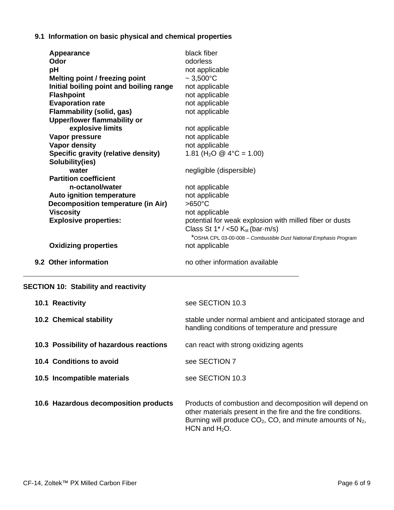# **9.1 Information on basic physical and chemical properties**

| 9.2 Other information                                                  | no other information available                                   |
|------------------------------------------------------------------------|------------------------------------------------------------------|
| <b>Oxidizing properties</b>                                            | not applicable                                                   |
|                                                                        | *OSHA CPL 03-00-008 - Combustible Dust National Emphasis Program |
|                                                                        | Class St $1^*/$ <50 $K_{st}$ (bar $\cdot$ m/s)                   |
| <b>Explosive properties:</b>                                           | potential for weak explosion with milled fiber or dusts          |
| <b>Viscosity</b>                                                       | not applicable                                                   |
| Decomposition temperature (in Air)                                     | $>650^{\circ}$ C                                                 |
| Auto ignition temperature                                              | not applicable                                                   |
| n-octanol/water                                                        | not applicable                                                   |
| <b>Partition coefficient</b>                                           |                                                                  |
| water                                                                  | negligible (dispersible)                                         |
| Solubility(ies)                                                        |                                                                  |
| Specific gravity (relative density)                                    | 1.81 (H <sub>2</sub> O @ 4°C = 1.00)                             |
| Vapor density                                                          | not applicable                                                   |
| Vapor pressure                                                         | not applicable                                                   |
| explosive limits                                                       | not applicable                                                   |
| <b>Flammability (solid, gas)</b><br><b>Upper/lower flammability or</b> | not applicable                                                   |
| <b>Evaporation rate</b>                                                | not applicable                                                   |
| <b>Flashpoint</b>                                                      | not applicable                                                   |
| Initial boiling point and boiling range                                | not applicable                                                   |
| <b>Melting point / freezing point</b>                                  | $\sim 3,500^{\circ}$ C                                           |
| pH                                                                     | not applicable                                                   |
| Odor                                                                   | odorless                                                         |
| Appearance                                                             | black fiber                                                      |

| 10.1 Reactivity                         | see SECTION 10.3                                                                                                                                                                                               |
|-----------------------------------------|----------------------------------------------------------------------------------------------------------------------------------------------------------------------------------------------------------------|
| <b>10.2 Chemical stability</b>          | stable under normal ambient and anticipated storage and<br>handling conditions of temperature and pressure                                                                                                     |
| 10.3 Possibility of hazardous reactions | can react with strong oxidizing agents                                                                                                                                                                         |
| 10.4 Conditions to avoid                | see SECTION 7                                                                                                                                                                                                  |
| 10.5 Incompatible materials             | see SECTION 10.3                                                                                                                                                                                               |
| 10.6 Hazardous decomposition products   | Products of combustion and decomposition will depend on<br>other materials present in the fire and the fire conditions.<br>Burning will produce $CO_2$ , CO, and minute amounts of $N_2$ ,<br>HCN and $H_2O$ . |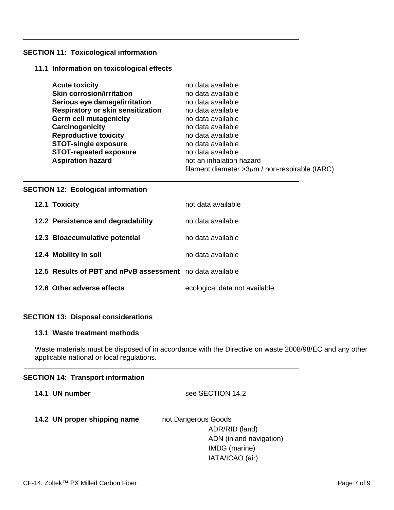### **SECTION 11: Toxicological information**

### **11.1 Information on toxicological effects**

| <b>Acute toxicity</b>             | no data available                                   |
|-----------------------------------|-----------------------------------------------------|
| <b>Skin corrosion/irritation</b>  | no data available                                   |
| Serious eye damage/irritation     | no data available                                   |
| Respiratory or skin sensitization | no data available                                   |
| <b>Germ cell mutagenicity</b>     | no data available                                   |
| Carcinogenicity                   | no data available                                   |
| <b>Reproductive toxicity</b>      | no data available                                   |
| <b>STOT-single exposure</b>       | no data available                                   |
| <b>STOT-repeated exposure</b>     | no data available                                   |
| <b>Aspiration hazard</b>          | not an inhalation hazard                            |
|                                   | filament diameter $>3\mu$ m / non-respirable (IARC) |

### **SECTION 12: Ecological information**

| 12.1 Toxicity                                             | not data available            |
|-----------------------------------------------------------|-------------------------------|
| 12.2 Persistence and degradability                        | no data available             |
| 12.3 Bioaccumulative potential                            | no data available.            |
| 12.4 Mobility in soil                                     | no data available             |
| 12.5 Results of PBT and nPvB assessment no data available |                               |
| 12.6 Other adverse effects                                | ecological data not available |

## **SECTION 13: Disposal considerations**

## **13.1 Waste treatment methods**

Waste materials must be disposed of in accordance with the Directive on waste 2008/98/EC and any other applicable national or local regulations.

### **SECTION 14: Transport information**

| see SECTION 14.2 |
|------------------|
|                  |

# 14.2 UN proper shipping name not Dangerous Goods

ADR/RID (land) ADN (inland navigation) IMDG (marine) IATA/ICAO (air)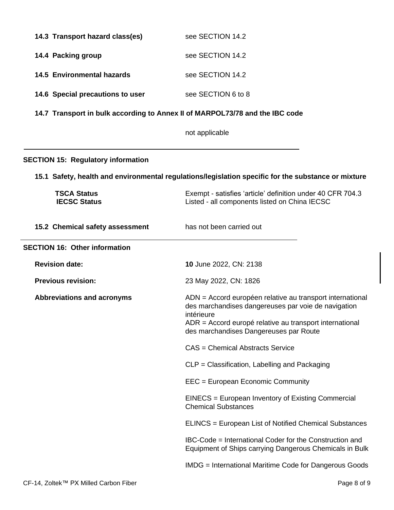| 14.3 Transport hazard class(es)                                              | see SECTION 14.2                                                                                                                                                                                                                    |  |  |
|------------------------------------------------------------------------------|-------------------------------------------------------------------------------------------------------------------------------------------------------------------------------------------------------------------------------------|--|--|
| 14.4 Packing group                                                           | see SECTION 14.2                                                                                                                                                                                                                    |  |  |
| <b>14.5 Environmental hazards</b>                                            | see SECTION 14.2                                                                                                                                                                                                                    |  |  |
| 14.6 Special precautions to user                                             | see SECTION 6 to 8                                                                                                                                                                                                                  |  |  |
| 14.7 Transport in bulk according to Annex II of MARPOL73/78 and the IBC code |                                                                                                                                                                                                                                     |  |  |
|                                                                              | not applicable                                                                                                                                                                                                                      |  |  |
| <b>SECTION 15: Regulatory information</b>                                    |                                                                                                                                                                                                                                     |  |  |
|                                                                              | 15.1 Safety, health and environmental regulations/legislation specific for the substance or mixture                                                                                                                                 |  |  |
| <b>TSCA Status</b><br><b>IECSC Status</b>                                    | Exempt - satisfies 'article' definition under 40 CFR 704.3<br>Listed - all components listed on China IECSC                                                                                                                         |  |  |
| 15.2 Chemical safety assessment                                              | has not been carried out                                                                                                                                                                                                            |  |  |
| <b>SECTION 16: Other information</b>                                         |                                                                                                                                                                                                                                     |  |  |
| <b>Revision date:</b>                                                        | 10 June 2022, CN: 2138                                                                                                                                                                                                              |  |  |
| <b>Previous revision:</b>                                                    | 23 May 2022, CN: 1826                                                                                                                                                                                                               |  |  |
| <b>Abbreviations and acronyms</b>                                            | ADN = Accord européen relative au transport international<br>des marchandises dangereuses par voie de navigation<br>intérieure<br>ADR = Accord europé relative au transport international<br>des marchandises Dangereuses par Route |  |  |
|                                                                              | <b>CAS</b> = Chemical Abstracts Service                                                                                                                                                                                             |  |  |
|                                                                              | CLP = Classification, Labelling and Packaging                                                                                                                                                                                       |  |  |
|                                                                              | EEC = European Economic Community                                                                                                                                                                                                   |  |  |
|                                                                              | EINECS = European Inventory of Existing Commercial<br><b>Chemical Substances</b>                                                                                                                                                    |  |  |
|                                                                              | ELINCS = European List of Notified Chemical Substances                                                                                                                                                                              |  |  |
|                                                                              | IBC-Code = International Coder for the Construction and<br>Equipment of Ships carrying Dangerous Chemicals in Bulk                                                                                                                  |  |  |
|                                                                              | <b>IMDG</b> = International Maritime Code for Dangerous Goods                                                                                                                                                                       |  |  |